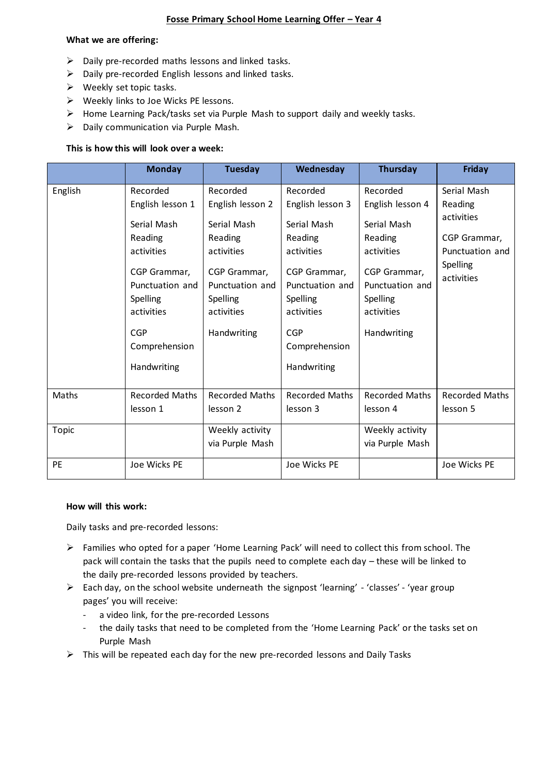## **Fosse Primary School Home Learning Offer – Year 4**

#### **What we are offering:**

- $\triangleright$  Daily pre-recorded maths lessons and linked tasks.
- $\triangleright$  Daily pre-recorded English lessons and linked tasks.
- ➢ Weekly set topic tasks.
- ➢ Weekly links to Joe Wicks PE lessons.
- ➢ Home Learning Pack/tasks set via Purple Mash to support daily and weekly tasks.
- ➢ Daily communication via Purple Mash.

## **This is how this will look over a week:**

|         | <b>Monday</b>                                                                                           | <b>Tuesday</b>                                                           | Wednesday                                                                                               | Thursday                                                                 | <b>Friday</b>              |  |
|---------|---------------------------------------------------------------------------------------------------------|--------------------------------------------------------------------------|---------------------------------------------------------------------------------------------------------|--------------------------------------------------------------------------|----------------------------|--|
| English | Recorded                                                                                                | Recorded                                                                 | Recorded                                                                                                | Recorded                                                                 | Serial Mash                |  |
|         | English lesson 1                                                                                        | English lesson 2                                                         | English lesson 3                                                                                        | English lesson 4                                                         | Reading                    |  |
|         | Serial Mash<br>Reading                                                                                  | Serial Mash<br>Reading                                                   | Serial Mash<br>Reading                                                                                  | Serial Mash<br>Reading                                                   | activities<br>CGP Grammar, |  |
|         | activities                                                                                              | activities                                                               | activities                                                                                              | activities                                                               | Punctuation and            |  |
|         | CGP Grammar,<br>Punctuation and<br>Spelling<br>activities<br><b>CGP</b><br>Comprehension<br>Handwriting | CGP Grammar,<br>Punctuation and<br>Spelling<br>activities<br>Handwriting | CGP Grammar,<br>Punctuation and<br>Spelling<br>activities<br><b>CGP</b><br>Comprehension<br>Handwriting | CGP Grammar,<br>Punctuation and<br>Spelling<br>activities<br>Handwriting | Spelling<br>activities     |  |
| Maths   | <b>Recorded Maths</b>                                                                                   | <b>Recorded Maths</b>                                                    | <b>Recorded Maths</b>                                                                                   | <b>Recorded Maths</b>                                                    | <b>Recorded Maths</b>      |  |
|         | lesson 1                                                                                                | lesson 2                                                                 | lesson 3                                                                                                | lesson 4                                                                 | lesson 5                   |  |
| Topic   |                                                                                                         | Weekly activity                                                          |                                                                                                         | Weekly activity                                                          |                            |  |
|         |                                                                                                         | via Purple Mash                                                          |                                                                                                         | via Purple Mash                                                          |                            |  |
| PE      | Joe Wicks PE                                                                                            |                                                                          | Joe Wicks PE                                                                                            |                                                                          | Joe Wicks PE               |  |

#### **How will this work:**

Daily tasks and pre-recorded lessons:

- ➢ Families who opted for a paper 'Home Learning Pack' will need to collect this from school. The pack will contain the tasks that the pupils need to complete each day – these will be linked to the daily pre-recorded lessons provided by teachers.
- ➢ Each day, on the school website underneath the signpost 'learning' 'classes' 'year group pages' you will receive:
	- a video link, for the pre-recorded Lessons
	- the daily tasks that need to be completed from the 'Home Learning Pack' or the tasks set on Purple Mash
- $\triangleright$  This will be repeated each day for the new pre-recorded lessons and Daily Tasks